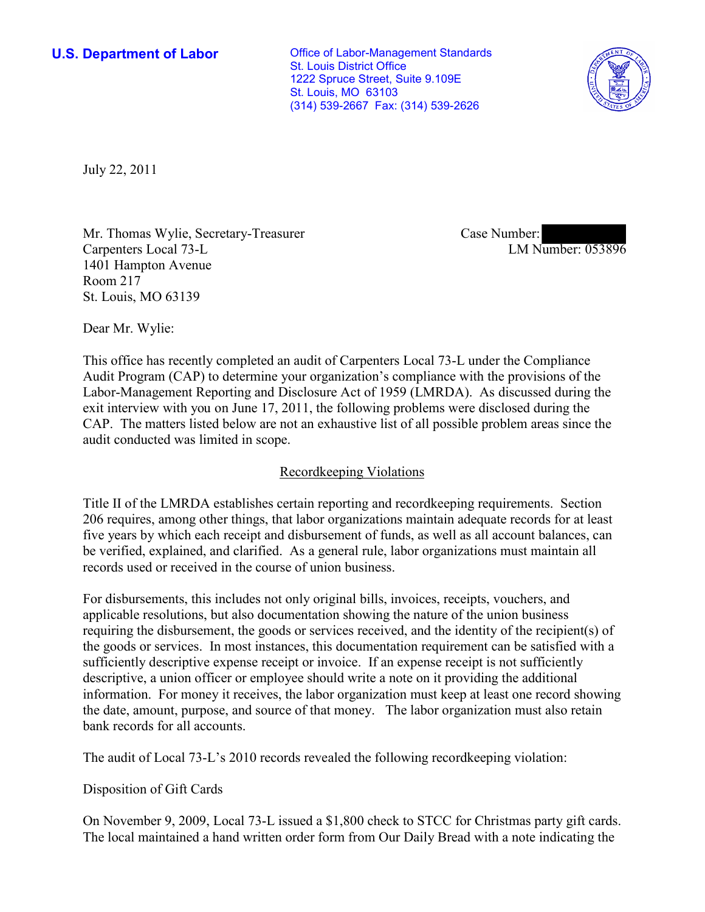**U.S. Department of Labor Conservative Conservative Conservative Conservative Conservative Conservative Conservative Conservative Conservative Conservative Conservative Conservative Conservative Conservative Conservative** St. Louis District Office 1222 Spruce Street, Suite 9.109E St. Louis, MO 63103 (314) 539-2667 Fax: (314) 539-2626



July 22, 2011

Mr. Thomas Wylie, Secretary-Treasurer Carpenters Local 73-L 1401 Hampton Avenue Room 217 St. Louis, MO 63139

Case Number: LM Number: 053896

Dear Mr. Wylie:

This office has recently completed an audit of Carpenters Local 73-L under the Compliance Audit Program (CAP) to determine your organization's compliance with the provisions of the Labor-Management Reporting and Disclosure Act of 1959 (LMRDA). As discussed during the exit interview with you on June 17, 2011, the following problems were disclosed during the CAP. The matters listed below are not an exhaustive list of all possible problem areas since the audit conducted was limited in scope.

## Recordkeeping Violations

Title II of the LMRDA establishes certain reporting and recordkeeping requirements. Section 206 requires, among other things, that labor organizations maintain adequate records for at least five years by which each receipt and disbursement of funds, as well as all account balances, can be verified, explained, and clarified. As a general rule, labor organizations must maintain all records used or received in the course of union business.

For disbursements, this includes not only original bills, invoices, receipts, vouchers, and applicable resolutions, but also documentation showing the nature of the union business requiring the disbursement, the goods or services received, and the identity of the recipient(s) of the goods or services. In most instances, this documentation requirement can be satisfied with a sufficiently descriptive expense receipt or invoice. If an expense receipt is not sufficiently descriptive, a union officer or employee should write a note on it providing the additional information. For money it receives, the labor organization must keep at least one record showing the date, amount, purpose, and source of that money. The labor organization must also retain bank records for all accounts.

The audit of Local 73-L's 2010 records revealed the following recordkeeping violation:

## Disposition of Gift Cards

On November 9, 2009, Local 73-L issued a \$1,800 check to STCC for Christmas party gift cards. The local maintained a hand written order form from Our Daily Bread with a note indicating the